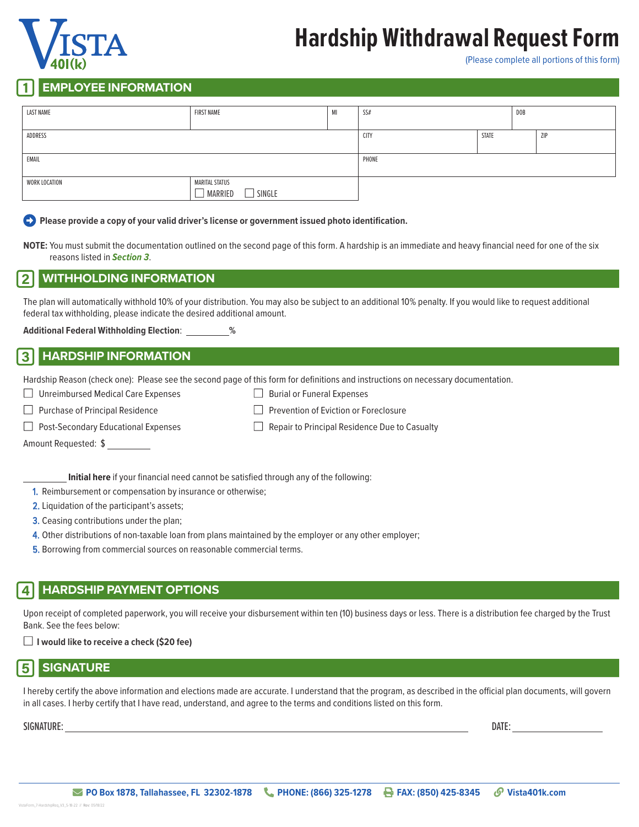# **Hardship Withdrawal Request Form**



(Please complete all portions of this form)

## 1 **EMPLOYEE INFORMATION**

| <b>LAST NAME</b> | <b>FIRST NAME</b>                                | M | SS#         |              | DOB |            |
|------------------|--------------------------------------------------|---|-------------|--------------|-----|------------|
| ADDRESS          |                                                  |   | <b>CITY</b> | <b>STATE</b> |     | <b>ZIP</b> |
| EMAIL            |                                                  |   | PHONE       |              |     |            |
| WORK LOCATION    | <b>MARITAL STATUS</b><br>$\Box$ SINGLE<br>MARRED |   |             |              |     |            |

**Please provide a copy of your valid driver's license or government issued photo identification.** 

**NOTE:** You must submit the documentation outlined on the second page of this form. A hardship is an immediate and heavy financial need for one of the six reasons listed in *Section 3*.

## 2 **WITHHOLDING INFORMATION**

The plan will automatically withhold 10% of your distribution. You may also be subject to an additional 10% penalty. If you would like to request additional federal tax withholding, please indicate the desired additional amount.

**Additional Federal Withholding Election**: **%**

## 3 **HARDSHIP INFORMATION**

| Hardship Reason (check one): Please see the second page of this form for definitions and instructions on necessary documentation. |  |                                                      |  |  |
|-----------------------------------------------------------------------------------------------------------------------------------|--|------------------------------------------------------|--|--|
| $\Box$ Unreimbursed Medical Care Expenses                                                                                         |  | $\Box$ Burial or Funeral Expenses                    |  |  |
| $\Box$ Purchase of Principal Residence                                                                                            |  | $\Box$ Prevention of Eviction or Foreclosure         |  |  |
| $\Box$ Post-Secondary Educational Expenses                                                                                        |  | $\Box$ Repair to Principal Residence Due to Casualty |  |  |
| Amount Requested: \$                                                                                                              |  |                                                      |  |  |

**Initial here** if your financial need cannot be satisfied through any of the following:

1. Reimbursement or compensation by insurance or otherwise;

2. Liquidation of the participant's assets;

3. Ceasing contributions under the plan;

4. Other distributions of non-taxable loan from plans maintained by the employer or any other employer;

5. Borrowing from commercial sources on reasonable commercial terms.

## 4 **HARDSHIP PAYMENT OPTIONS**

Upon receipt of completed paperwork, you will receive your disbursement within ten (10) business days or less. There is a distribution fee charged by the Trust Bank. See the fees below:

■ **I would like to receive a check (\$20 fee)**

## 5 **SIGNATURE**

I hereby certify the above information and elections made are accurate. I understand that the program, as described in the official plan documents, will govern in all cases. I herby certify that I have read, understand, and agree to the terms and conditions listed on this form.

SIGNATURE: DATE: